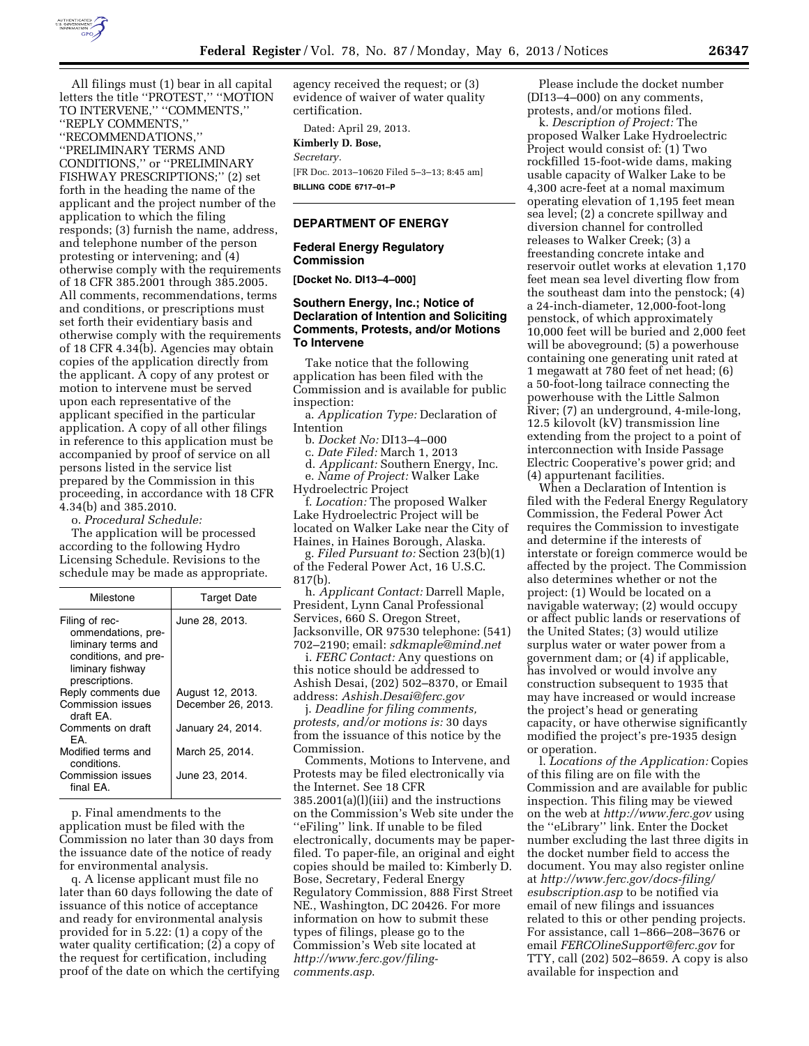

All filings must (1) bear in all capital letters the title ''PROTEST,'' ''MOTION TO INTERVENE," "COMMENTS," ''REPLY COMMENTS,'' ''RECOMMENDATIONS,'' ''PRELIMINARY TERMS AND CONDITIONS,'' or ''PRELIMINARY FISHWAY PRESCRIPTIONS;'' (2) set forth in the heading the name of the applicant and the project number of the application to which the filing responds; (3) furnish the name, address, and telephone number of the person protesting or intervening; and (4) otherwise comply with the requirements of 18 CFR 385.2001 through 385.2005. All comments, recommendations, terms and conditions, or prescriptions must set forth their evidentiary basis and otherwise comply with the requirements of 18 CFR 4.34(b). Agencies may obtain copies of the application directly from the applicant. A copy of any protest or motion to intervene must be served upon each representative of the applicant specified in the particular application. A copy of all other filings in reference to this application must be accompanied by proof of service on all persons listed in the service list prepared by the Commission in this proceeding, in accordance with 18 CFR 4.34(b) and 385.2010.

o. *Procedural Schedule:* 

The application will be processed according to the following Hydro Licensing Schedule. Revisions to the schedule may be made as appropriate.

| Milestone                                                                                                                | <b>Target Date</b>                     |
|--------------------------------------------------------------------------------------------------------------------------|----------------------------------------|
| Filing of rec-<br>ommendations, pre-<br>liminary terms and<br>conditions, and pre-<br>liminary fishway<br>prescriptions. | June 28, 2013.                         |
| Reply comments due<br>Commission issues<br>draft FA.                                                                     | August 12, 2013.<br>December 26, 2013. |
| Comments on draft<br>FA.                                                                                                 | January 24, 2014.                      |
| Modified terms and<br>conditions.                                                                                        | March 25, 2014.                        |
| Commission issues<br>final FA.                                                                                           | June 23, 2014.                         |

p. Final amendments to the application must be filed with the Commission no later than 30 days from the issuance date of the notice of ready for environmental analysis.

q. A license applicant must file no later than 60 days following the date of issuance of this notice of acceptance and ready for environmental analysis provided for in 5.22: (1) a copy of the water quality certification; (2) a copy of the request for certification, including proof of the date on which the certifying agency received the request; or (3) evidence of waiver of water quality certification.

Dated: April 29, 2013.

**Kimberly D. Bose,**  *Secretary.* 

[FR Doc. 2013–10620 Filed 5–3–13; 8:45 am] **BILLING CODE 6717–01–P** 

# **DEPARTMENT OF ENERGY**

#### **Federal Energy Regulatory Commission**

**[Docket No. DI13–4–000]** 

### **Southern Energy, Inc.; Notice of Declaration of Intention and Soliciting Comments, Protests, and/or Motions To Intervene**

Take notice that the following application has been filed with the Commission and is available for public inspection:

a. *Application Type:* Declaration of Intention

b. *Docket No:* DI13–4–000

c. *Date Filed:* March 1, 2013

d. *Applicant:* Southern Energy, Inc.

e. *Name of Project:* Walker Lake Hydroelectric Project

f. *Location:* The proposed Walker Lake Hydroelectric Project will be located on Walker Lake near the City of Haines, in Haines Borough, Alaska.

g. *Filed Pursuant to:* Section 23(b)(1) of the Federal Power Act, 16 U.S.C. 817(b).

h. *Applicant Contact:* Darrell Maple, President, Lynn Canal Professional Services, 660 S. Oregon Street, Jacksonville, OR 97530 telephone: (541) 702–2190; email: *[sdkmaple@mind.net](mailto:sdkmaple@mind.net)* 

i. *FERC Contact:* Any questions on this notice should be addressed to Ashish Desai, (202) 502–8370, or Email address: *[Ashish.Desai@ferc.gov](mailto:Ashish.Desai@ferc.gov)* 

j. *Deadline for filing comments, protests, and/or motions is:* 30 days from the issuance of this notice by the Commission.

Comments, Motions to Intervene, and Protests may be filed electronically via the Internet. See 18 CFR 385.2001(a)(l)(iii) and the instructions on the Commission's Web site under the ''eFiling'' link. If unable to be filed electronically, documents may be paperfiled. To paper-file, an original and eight copies should be mailed to: Kimberly D. Bose, Secretary, Federal Energy Regulatory Commission, 888 First Street NE., Washington, DC 20426. For more information on how to submit these types of filings, please go to the Commission's Web site located at *[http://www.ferc.gov/filing](http://www.ferc.gov/filing-comments.asp)[comments.asp](http://www.ferc.gov/filing-comments.asp)*.

Please include the docket number (DI13–4–000) on any comments, protests, and/or motions filed.

k. *Description of Project:* The proposed Walker Lake Hydroelectric Project would consist of: (1) Two rockfilled 15-foot-wide dams, making usable capacity of Walker Lake to be 4,300 acre-feet at a nomal maximum operating elevation of 1,195 feet mean sea level; (2) a concrete spillway and diversion channel for controlled releases to Walker Creek; (3) a freestanding concrete intake and reservoir outlet works at elevation 1,170 feet mean sea level diverting flow from the southeast dam into the penstock; (4) a 24-inch-diameter, 12,000-foot-long penstock, of which approximately 10,000 feet will be buried and 2,000 feet will be aboveground; (5) a powerhouse containing one generating unit rated at 1 megawatt at 780 feet of net head; (6) a 50-foot-long tailrace connecting the powerhouse with the Little Salmon River; (7) an underground, 4-mile-long, 12.5 kilovolt (kV) transmission line extending from the project to a point of interconnection with Inside Passage Electric Cooperative's power grid; and (4) appurtenant facilities.

When a Declaration of Intention is filed with the Federal Energy Regulatory Commission, the Federal Power Act requires the Commission to investigate and determine if the interests of interstate or foreign commerce would be affected by the project. The Commission also determines whether or not the project: (1) Would be located on a navigable waterway; (2) would occupy or affect public lands or reservations of the United States; (3) would utilize surplus water or water power from a government dam; or (4) if applicable, has involved or would involve any construction subsequent to 1935 that may have increased or would increase the project's head or generating capacity, or have otherwise significantly modified the project's pre-1935 design or operation.

l. *Locations of the Application:* Copies of this filing are on file with the Commission and are available for public inspection. This filing may be viewed on the web at *<http://www.ferc.gov>*using the ''eLibrary'' link. Enter the Docket number excluding the last three digits in the docket number field to access the document. You may also register online at *[http://www.ferc.gov/docs-filing/](http://www.ferc.gov/docs-filing/esubscription.asp) [esubscription.asp](http://www.ferc.gov/docs-filing/esubscription.asp)* to be notified via email of new filings and issuances related to this or other pending projects. For assistance, call 1–866–208–3676 or email *[FERCOlineSupport@ferc.gov](mailto:FERCOlineSupport@ferc.gov)* for TTY, call (202) 502–8659. A copy is also available for inspection and